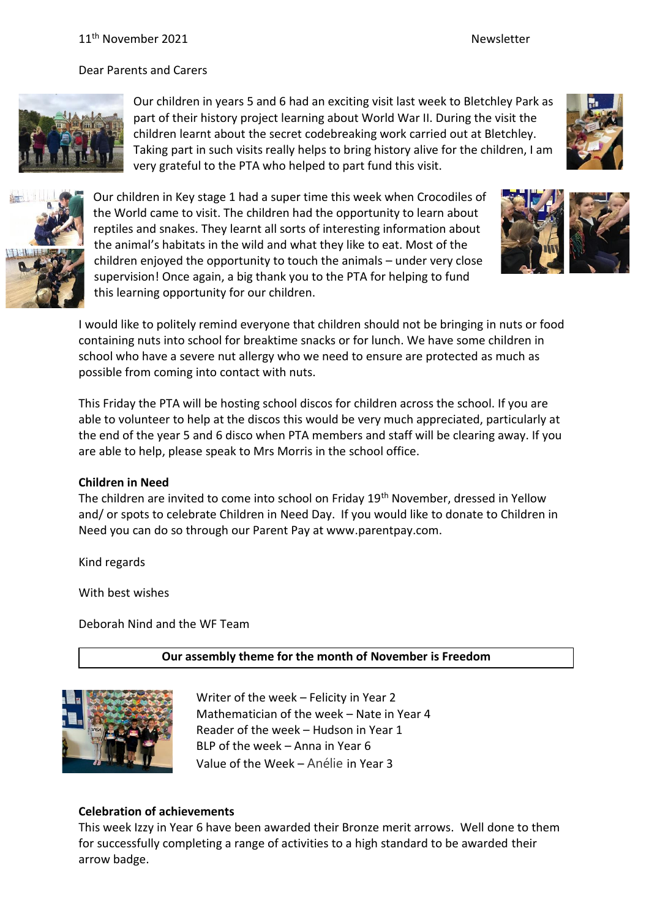Dear Parents and Carers



Our children in years 5 and 6 had an exciting visit last week to Bletchley Park as part of their history project learning about World War II. During the visit the children learnt about the secret codebreaking work carried out at Bletchley. Taking part in such visits really helps to bring history alive for the children, I am very grateful to the PTA who helped to part fund this visit.





Our children in Key stage 1 had a super time this week when Crocodiles of the World came to visit. The children had the opportunity to learn about reptiles and snakes. They learnt all sorts of interesting information about the animal's habitats in the wild and what they like to eat. Most of the children enjoyed the opportunity to touch the animals – under very close supervision! Once again, a big thank you to the PTA for helping to fund this learning opportunity for our children.



I would like to politely remind everyone that children should not be bringing in nuts or food containing nuts into school for breaktime snacks or for lunch. We have some children in school who have a severe nut allergy who we need to ensure are protected as much as possible from coming into contact with nuts.

This Friday the PTA will be hosting school discos for children across the school. If you are able to volunteer to help at the discos this would be very much appreciated, particularly at the end of the year 5 and 6 disco when PTA members and staff will be clearing away. If you are able to help, please speak to Mrs Morris in the school office.

#### **Children in Need**

The children are invited to come into school on Friday 19<sup>th</sup> November, dressed in Yellow and/ or spots to celebrate Children in Need Day. If you would like to donate to Children in Need you can do so through our Parent Pay at www.parentpay.com.

Kind regards

With best wishes

Deborah Nind and the WF Team

#### **Our assembly theme for the month of November is Freedom**



Writer of the week – Felicity in Year 2 Mathematician of the week – Nate in Year 4 Reader of the week – Hudson in Year 1 BLP of the week – Anna in Year 6 Value of the Week – Anélie in Year 3

## **Celebration of achievements**

This week Izzy in Year 6 have been awarded their Bronze merit arrows. Well done to them for successfully completing a range of activities to a high standard to be awarded their arrow badge.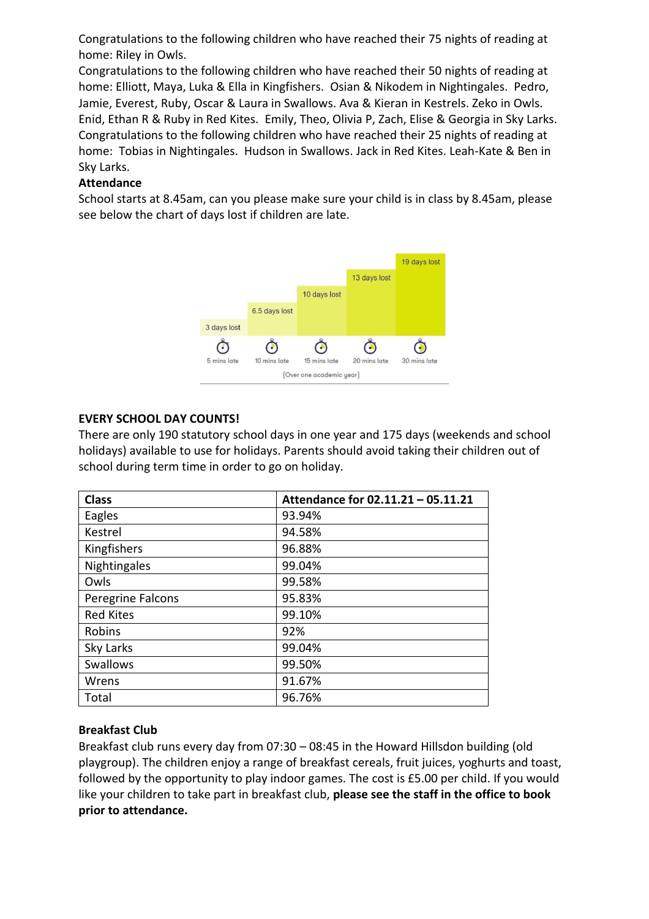Congratulations to the following children who have reached their 75 nights of reading at home: Riley in Owls.

Congratulations to the following children who have reached their 50 nights of reading at home: Elliott, Maya, Luka & Ella in Kingfishers. Osian & Nikodem in Nightingales. Pedro, Jamie, Everest, Ruby, Oscar & Laura in Swallows. Ava & Kieran in Kestrels. Zeko in Owls. Enid, Ethan R & Ruby in Red Kites. Emily, Theo, Olivia P, Zach, Elise & Georgia in Sky Larks. Congratulations to the following children who have reached their 25 nights of reading at home: Tobias in Nightingales. Hudson in Swallows. Jack in Red Kites. Leah-Kate & Ben in Sky Larks.

## **Attendance**

School starts at 8.45am, can you please make sure your child is in class by 8.45am, please see below the chart of days lost if children are late.



#### **EVERY SCHOOL DAY COUNTS!**

There are only 190 statutory school days in one year and 175 days (weekends and school holidays) available to use for holidays. Parents should avoid taking their children out of school during term time in order to go on holiday.

| <b>Class</b>      | Attendance for 02.11.21 - 05.11.21 |
|-------------------|------------------------------------|
| Eagles            | 93.94%                             |
| Kestrel           | 94.58%                             |
| Kingfishers       | 96.88%                             |
| Nightingales      | 99.04%                             |
| Owls              | 99.58%                             |
| Peregrine Falcons | 95.83%                             |
| <b>Red Kites</b>  | 99.10%                             |
| Robins            | 92%                                |
| Sky Larks         | 99.04%                             |
| <b>Swallows</b>   | 99.50%                             |
| Wrens             | 91.67%                             |
| Total             | 96.76%                             |

## **Breakfast Club**

Breakfast club runs every day from 07:30 – 08:45 in the Howard Hillsdon building (old playgroup). The children enjoy a range of breakfast cereals, fruit juices, yoghurts and toast, followed by the opportunity to play indoor games. The cost is £5.00 per child. If you would like your children to take part in breakfast club, **please see the staff in the office to book prior to attendance.**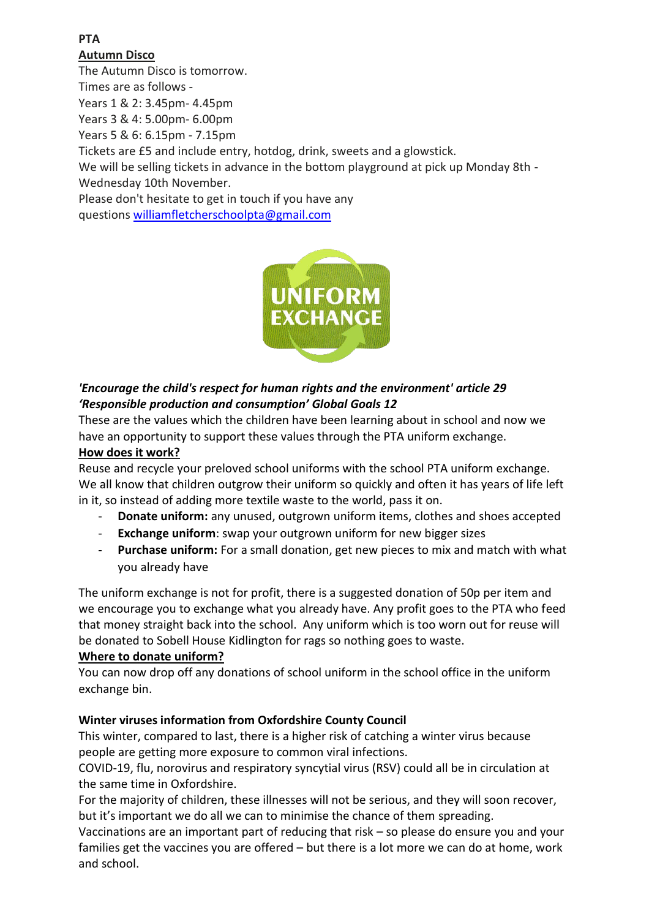# **PTA**

**Autumn Disco**

The Autumn Disco is tomorrow.

Times are as follows -

Years 1 & 2: 3.45pm- 4.45pm

Years 3 & 4: 5.00pm- 6.00pm

Years 5 & 6: 6.15pm - 7.15pm

Tickets are £5 and include entry, hotdog, drink, sweets and a glowstick.

We will be selling tickets in advance in the bottom playground at pick up Monday 8th - Wednesday 10th November.

Please don't hesitate to get in touch if you have any

questions [williamfletcherschoolpta@gmail.com](mailto:williamfletcherschoolpta@gmail.com)



## *'Encourage the child's respect for human rights and the environment' article 29 'Responsible production and consumption' Global Goals 12*

These are the values which the children have been learning about in school and now we have an opportunity to support these values through the PTA uniform exchange.

## **How does it work?**

Reuse and recycle your preloved school uniforms with the school PTA uniform exchange. We all know that children outgrow their uniform so quickly and often it has years of life left in it, so instead of adding more textile waste to the world, pass it on.

- **Donate uniform:** any unused, outgrown uniform items, clothes and shoes accepted
- **Exchange uniform**: swap your outgrown uniform for new bigger sizes
- **Purchase uniform:** For a small donation, get new pieces to mix and match with what you already have

The uniform exchange is not for profit, there is a suggested donation of 50p per item and we encourage you to exchange what you already have. Any profit goes to the PTA who feed that money straight back into the school. Any uniform which is too worn out for reuse will be donated to Sobell House Kidlington for rags so nothing goes to waste.

## **Where to donate uniform?**

You can now drop off any donations of school uniform in the school office in the uniform exchange bin.

## **Winter viruses information from Oxfordshire County Council**

This winter, compared to last, there is a higher risk of catching a winter virus because people are getting more exposure to common viral infections.

COVID-19, flu, norovirus and respiratory syncytial virus (RSV) could all be in circulation at the same time in Oxfordshire.

For the majority of children, these illnesses will not be serious, and they will soon recover, but it's important we do all we can to minimise the chance of them spreading.

Vaccinations are an important part of reducing that risk – so please do ensure you and your families get the vaccines you are offered – but there is a lot more we can do at home, work and school.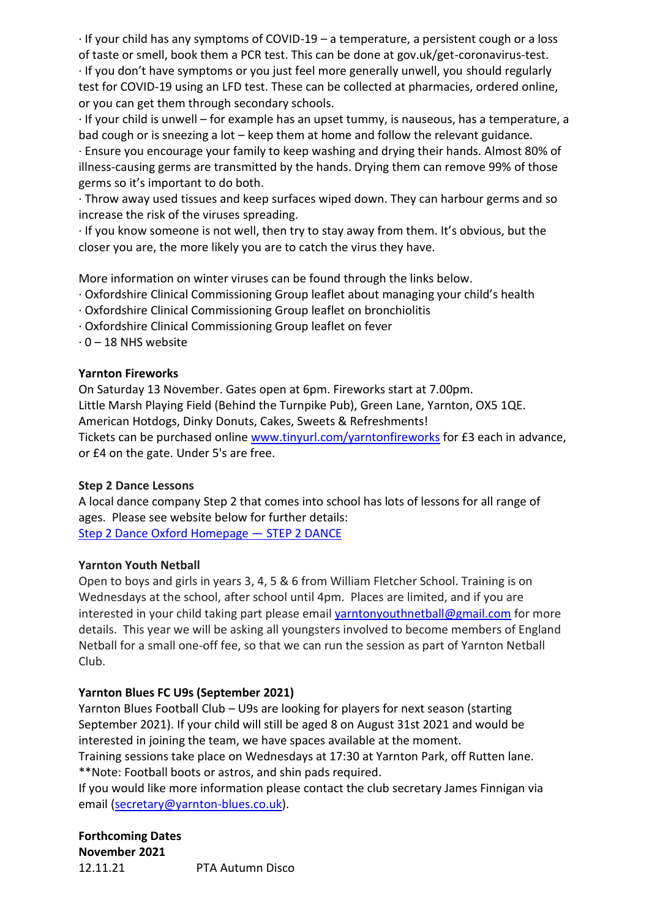· If your child has any symptoms of COVID-19 – a temperature, a persistent cough or a loss of taste or smell, book them a PCR test. This can be done at gov.uk/get-coronavirus-test. · If you don't have symptoms or you just feel more generally unwell, you should regularly test for COVID-19 using an LFD test. These can be collected at pharmacies, ordered online, or you can get them through secondary schools.

· If your child is unwell – for example has an upset tummy, is nauseous, has a temperature, a bad cough or is sneezing a lot – keep them at home and follow the relevant guidance.

· Ensure you encourage your family to keep washing and drying their hands. Almost 80% of illness-causing germs are transmitted by the hands. Drying them can remove 99% of those germs so it's important to do both.

· Throw away used tissues and keep surfaces wiped down. They can harbour germs and so increase the risk of the viruses spreading.

· If you know someone is not well, then try to stay away from them. It's obvious, but the closer you are, the more likely you are to catch the virus they have.

More information on winter viruses can be found through the links below.

· Oxfordshire Clinical Commissioning Group leaflet about managing your child's health

- · Oxfordshire Clinical Commissioning Group leaflet on bronchiolitis
- · Oxfordshire Clinical Commissioning Group leaflet on fever
- $\cdot$  0 18 NHS website

## **Yarnton Fireworks**

On Saturday 13 November. Gates open at 6pm. Fireworks start at 7.00pm. Little Marsh Playing Field (Behind the Turnpike Pub), Green Lane, Yarnton, OX5 1QE. American Hotdogs, Dinky Donuts, Cakes, Sweets & Refreshments! Tickets can be purchased online [www.tinyurl.com/yarntonfireworks](http://www.tinyurl.com/yarntonfireworks) for £3 each in advance, or £4 on the gate. Under 5's are free.

## **Step 2 Dance Lessons**

A local dance company Step 2 that comes into school has lots of lessons for all range of ages. Please see website below for further details: [Step 2 Dance Oxford Homepage](https://www.step2dance.co.uk/home) — STEP 2 DANCE

## **Yarnton Youth Netball**

Open to boys and girls in years 3, 4, 5 & 6 from William Fletcher School. Training is on Wednesdays at the school, after school until 4pm. Places are limited, and if you are interested in your child taking part please email [yarntonyouthnetball@gmail.com](mailto:yarntonyouthnetball@gmail.com) for more details. This year we will be asking all youngsters involved to become members of England Netball for a small one-off fee, so that we can run the session as part of Yarnton Netball Club.

## **Yarnton Blues FC U9s (September 2021)**

Yarnton Blues Football Club – U9s are looking for players for next season (starting September 2021). If your child will still be aged 8 on August 31st 2021 and would be interested in joining the team, we have spaces available at the moment.

Training sessions take place on Wednesdays at 17:30 at Yarnton Park, off Rutten lane. \*\*Note: Football boots or astros, and shin pads required.

If you would like more information please contact the club secretary James Finnigan via email [\(secretary@yarnton-blues.co.uk\)](mailto:secretary@yarnton-blues.co.uk).

## **Forthcoming Dates**